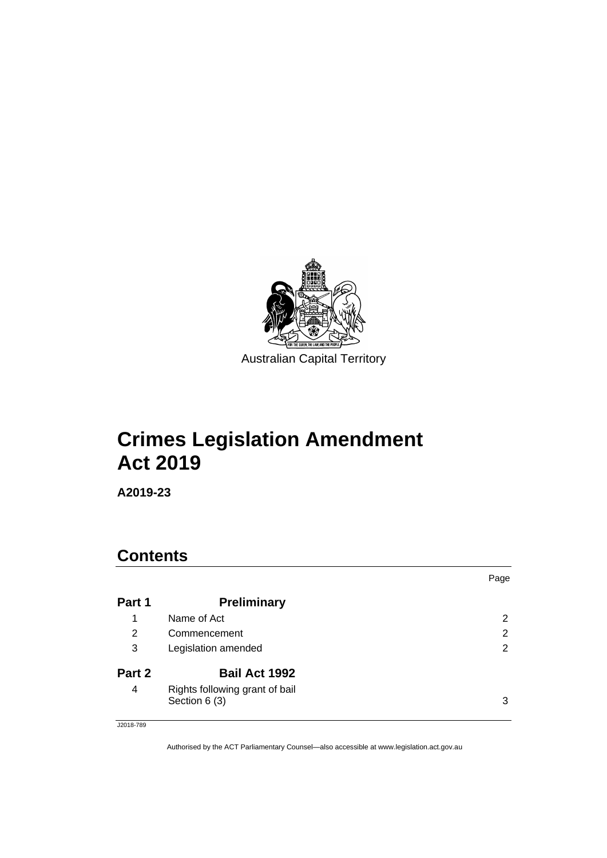

# **Crimes Legislation Amendment Act 2019**

**A2019-23**

## **Contents**

|        |                                                 | Page                  |
|--------|-------------------------------------------------|-----------------------|
| Part 1 | <b>Preliminary</b>                              |                       |
| 1      | Name of Act                                     | 2                     |
| 2      | Commencement                                    | 2                     |
| 3      | Legislation amended                             | $\mathbf{2}^{\prime}$ |
| Part 2 | <b>Bail Act 1992</b>                            |                       |
| 4      | Rights following grant of bail<br>Section 6 (3) | 3                     |

J2018-789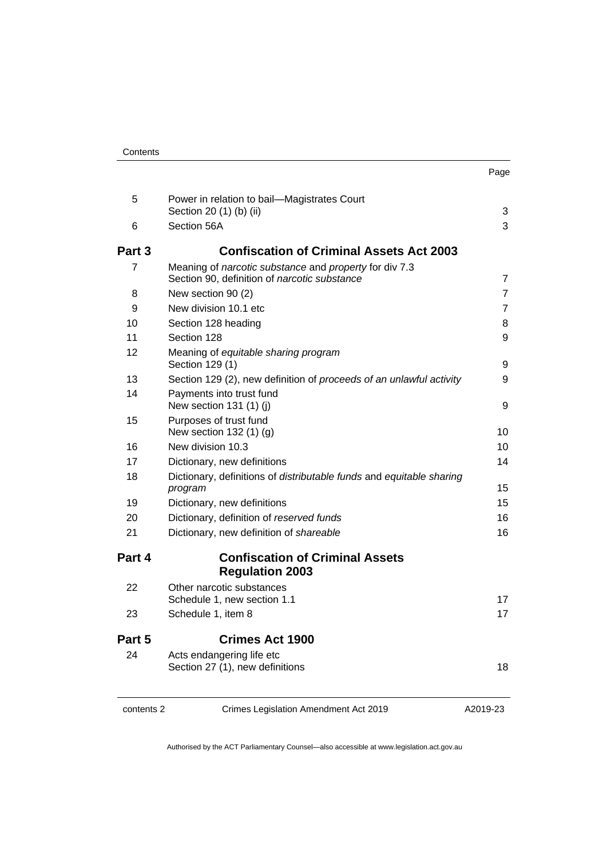| Contents |
|----------|
|----------|

| . .<br>×<br>۰.<br>× |
|---------------------|
|---------------------|

| contents 2 | Crimes Legislation Amendment Act 2019                                                                  | A2019-23       |
|------------|--------------------------------------------------------------------------------------------------------|----------------|
| 24         | Acts endangering life etc<br>Section 27 (1), new definitions                                           | 18             |
| Part 5     | <b>Crimes Act 1900</b>                                                                                 |                |
| 23         | Schedule 1, item 8                                                                                     | 17             |
| 22         | Other narcotic substances<br>Schedule 1, new section 1.1                                               | 17             |
| Part 4     | <b>Confiscation of Criminal Assets</b><br><b>Regulation 2003</b>                                       |                |
| 21         | Dictionary, new definition of shareable                                                                | 16             |
| 20         | Dictionary, definition of reserved funds                                                               | 16             |
| 19         | Dictionary, new definitions                                                                            | 15             |
| 18         | Dictionary, definitions of distributable funds and equitable sharing<br>program                        | 15             |
| 17         | Dictionary, new definitions                                                                            | 14             |
| 16         | New division 10.3                                                                                      | 10             |
| 15         | Purposes of trust fund<br>New section 132 (1) (g)                                                      | 10             |
| 14         | Payments into trust fund<br>New section $131(1)$ (i)                                                   | 9              |
| 13         | Section 129 (2), new definition of proceeds of an unlawful activity                                    | 9              |
| 12         | Meaning of equitable sharing program<br>Section 129 (1)                                                | 9              |
| 11         | Section 128                                                                                            | 9              |
| 10         | Section 128 heading                                                                                    | 8              |
| 9          | New division 10.1 etc                                                                                  | $\overline{7}$ |
| 8          | New section 90 (2)                                                                                     | $\overline{7}$ |
| 7          | Meaning of narcotic substance and property for div 7.3<br>Section 90, definition of narcotic substance | 7              |
| Part 3     | <b>Confiscation of Criminal Assets Act 2003</b>                                                        |                |
| 6          | Section 56A                                                                                            | 3              |
|            | Section 20 (1) (b) (ii)                                                                                | 3              |

5 [Power in relation to bail—Magistrates Court](#page-6-2)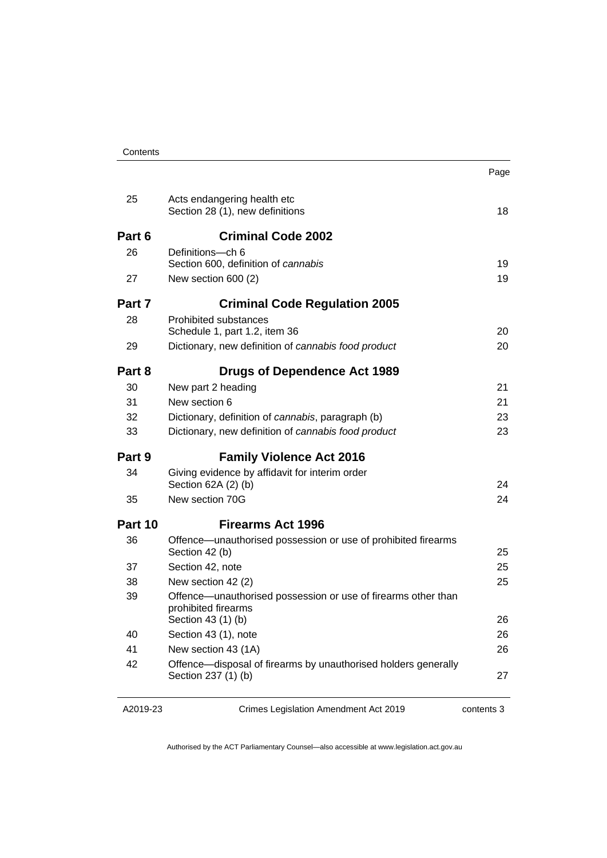| Contents |
|----------|
|----------|

| я<br>C<br>ı<br>ı |
|------------------|

| 25      | Acts endangering health etc<br>Section 28 (1), new definitions                        | 18       |
|---------|---------------------------------------------------------------------------------------|----------|
| Part 6  | <b>Criminal Code 2002</b>                                                             |          |
| 26      | Definitions---ch 6                                                                    |          |
| 27      | Section 600, definition of cannabis<br>New section 600 (2)                            | 19<br>19 |
|         |                                                                                       |          |
| Part 7  | <b>Criminal Code Regulation 2005</b>                                                  |          |
| 28      | Prohibited substances                                                                 | 20       |
| 29      | Schedule 1, part 1.2, item 36<br>Dictionary, new definition of cannabis food product  | 20       |
|         |                                                                                       |          |
| Part 8  | <b>Drugs of Dependence Act 1989</b>                                                   |          |
| 30      | New part 2 heading                                                                    | 21       |
| 31      | New section 6                                                                         | 21       |
| 32      | Dictionary, definition of cannabis, paragraph (b)                                     | 23       |
| 33      | Dictionary, new definition of cannabis food product                                   | 23       |
| Part 9  | <b>Family Violence Act 2016</b>                                                       |          |
| 34      | Giving evidence by affidavit for interim order<br>Section 62A (2) (b)                 | 24       |
| 35      | New section 70G                                                                       | 24       |
| Part 10 | <b>Firearms Act 1996</b>                                                              |          |
| 36      | Offence-unauthorised possession or use of prohibited firearms<br>Section 42 (b)       | 25       |
| 37      | Section 42, note                                                                      | 25       |
| 38      | New section 42 (2)                                                                    | 25       |
| 39      | Offence—unauthorised possession or use of firearms other than<br>prohibited firearms  |          |
|         | Section 43 (1) (b)                                                                    | 26       |
| 40      | Section 43 (1), note                                                                  | 26       |
| 41      | New section 43 (1A)                                                                   | 26       |
| 42      | Offence—disposal of firearms by unauthorised holders generally<br>Section 237 (1) (b) | 27       |
|         |                                                                                       |          |

A2019-23

Crimes Legislation Amendment Act 2019

contents 3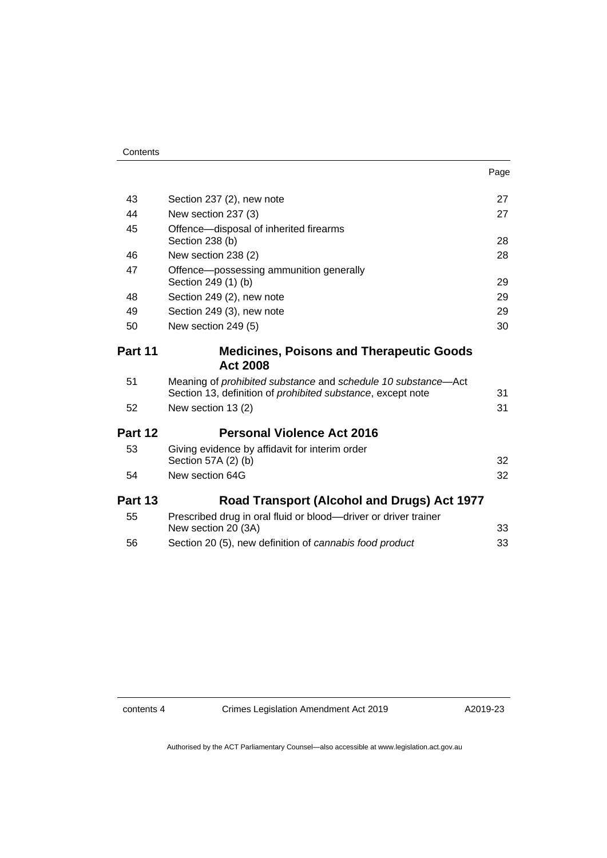| Page |
|------|
|------|

| 43      | Section 237 (2), new note                                                                                                                          | 27 |
|---------|----------------------------------------------------------------------------------------------------------------------------------------------------|----|
| 44      | New section 237 (3)                                                                                                                                | 27 |
| 45      | Offence-disposal of inherited firearms                                                                                                             |    |
|         | Section 238 (b)                                                                                                                                    | 28 |
| 46      | New section 238 (2)                                                                                                                                | 28 |
| 47      | Offence-possessing ammunition generally<br>Section 249 (1) (b)                                                                                     | 29 |
| 48      | Section 249 (2), new note                                                                                                                          | 29 |
| 49      | Section 249 (3), new note                                                                                                                          | 29 |
| 50      | New section 249 (5)                                                                                                                                | 30 |
| Part 11 | <b>Medicines, Poisons and Therapeutic Goods</b>                                                                                                    |    |
|         | <b>Act 2008</b>                                                                                                                                    |    |
| 51      | Meaning of <i>prohibited substance</i> and <i>schedule</i> 10 substance—Act<br>Section 13, definition of <i>prohibited substance</i> , except note | 31 |
| 52      | New section 13 (2)                                                                                                                                 | 31 |
| Part 12 | <b>Personal Violence Act 2016</b>                                                                                                                  |    |
| 53      | Giving evidence by affidavit for interim order<br>Section 57A (2) (b)                                                                              | 32 |
| 54      | New section 64G                                                                                                                                    | 32 |
| Part 13 | Road Transport (Alcohol and Drugs) Act 1977                                                                                                        |    |
| 55      | Prescribed drug in oral fluid or blood—driver or driver trainer<br>New section 20 (3A)                                                             | 33 |
| 56      | Section 20 (5), new definition of cannabis food product                                                                                            | 33 |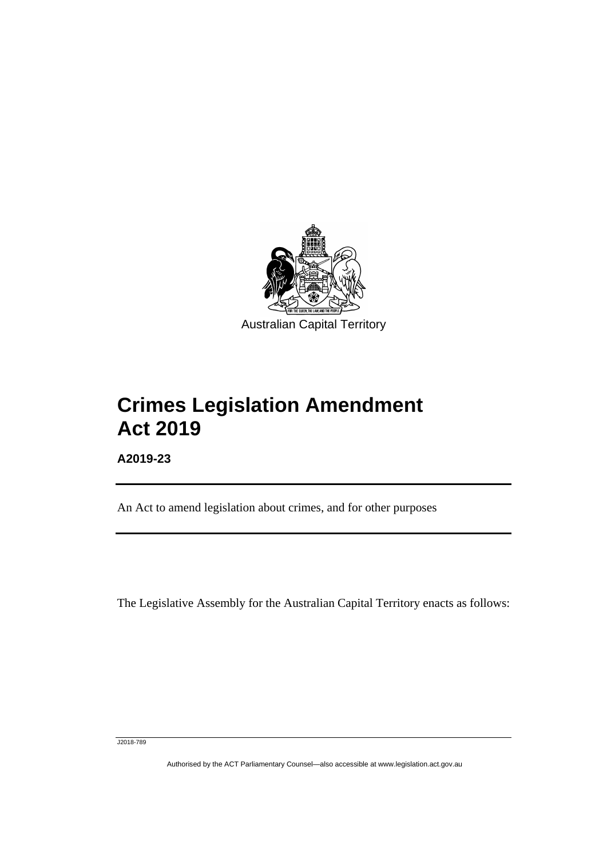

# **Crimes Legislation Amendment Act 2019**

**A2019-23**

I

An Act to amend legislation about crimes, and for other purposes

The Legislative Assembly for the Australian Capital Territory enacts as follows:

J2018-789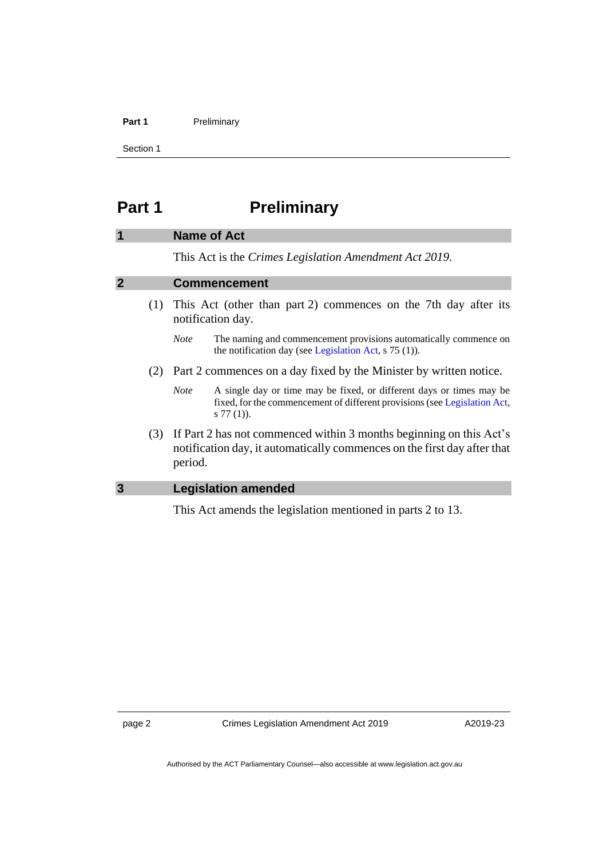#### **Part 1** Preliminary

Section 1

### <span id="page-5-0"></span>**Part 1 Preliminary**

### <span id="page-5-1"></span>**1 Name of Act**

This Act is the *Crimes Legislation Amendment Act 2019*.

### <span id="page-5-2"></span>**2 Commencement**

- (1) This Act (other than part 2) commences on the 7th day after its notification day.
	- *Note* The naming and commencement provisions automatically commence on the notification day (see [Legislation Act,](http://www.legislation.act.gov.au/a/2001-14) s 75 (1)).
- (2) Part 2 commences on a day fixed by the Minister by written notice.
	- *Note* A single day or time may be fixed, or different days or times may be fixed, for the commencement of different provisions (se[e Legislation Act,](http://www.legislation.act.gov.au/a/2001-14) s 77 (1)).
- (3) If Part 2 has not commenced within 3 months beginning on this Act's notification day, it automatically commences on the first day after that period.

### <span id="page-5-3"></span>**3 Legislation amended**

This Act amends the legislation mentioned in parts 2 to 13.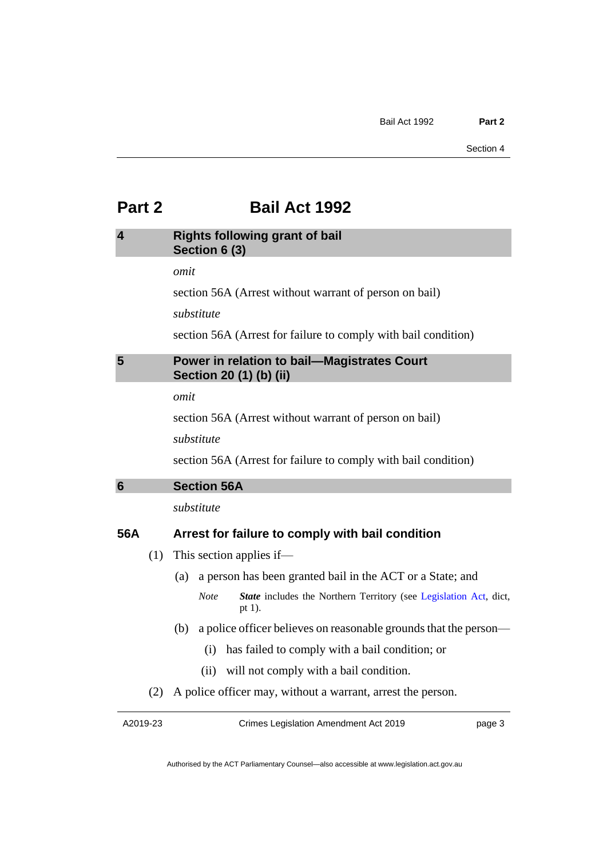### <span id="page-6-0"></span>**Part 2 Bail Act 1992**

### <span id="page-6-1"></span>**4 Rights following grant of bail Section 6 (3)**

*omit*

section 56A (Arrest without warrant of person on bail)

*substitute*

section 56A (Arrest for failure to comply with bail condition)

### <span id="page-6-2"></span>**5 Power in relation to bail—Magistrates Court Section 20 (1) (b) (ii)**

*omit*

section 56A (Arrest without warrant of person on bail)

*substitute*

section 56A (Arrest for failure to comply with bail condition)

<span id="page-6-3"></span>

*substitute*

### **56A Arrest for failure to comply with bail condition**

- (1) This section applies if—
	- (a) a person has been granted bail in the ACT or a State; and
		- *Note State* includes the Northern Territory (see [Legislation Act,](http://www.legislation.act.gov.au/a/2001-14) dict, pt 1).
	- (b) a police officer believes on reasonable grounds that the person—
		- (i) has failed to comply with a bail condition; or
		- (ii) will not comply with a bail condition.
- (2) A police officer may, without a warrant, arrest the person.

A2019-23

Crimes Legislation Amendment Act 2019

page 3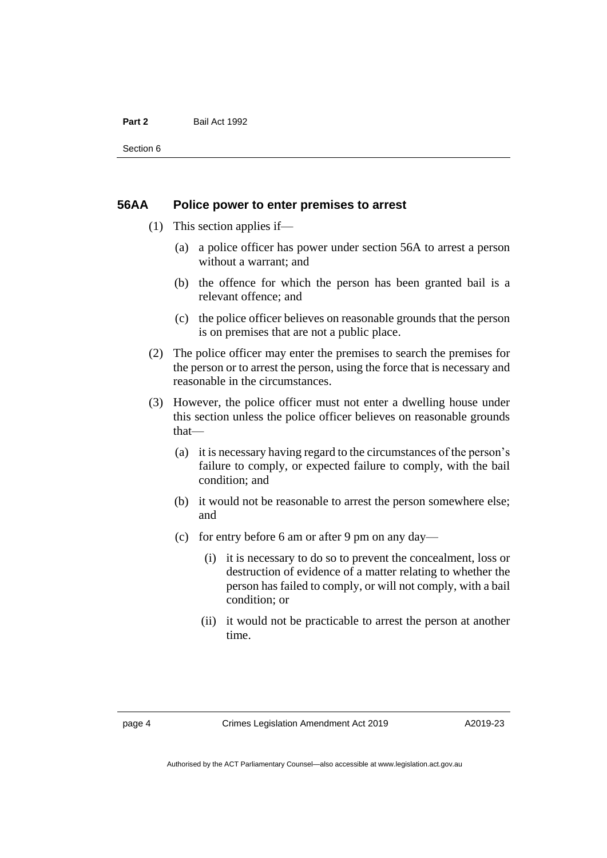### **Part 2** Bail Act 1992

Section 6

### **56AA Police power to enter premises to arrest**

- (1) This section applies if—
	- (a) a police officer has power under section 56A to arrest a person without a warrant; and
	- (b) the offence for which the person has been granted bail is a relevant offence; and
	- (c) the police officer believes on reasonable grounds that the person is on premises that are not a public place.
- (2) The police officer may enter the premises to search the premises for the person or to arrest the person, using the force that is necessary and reasonable in the circumstances.
- (3) However, the police officer must not enter a dwelling house under this section unless the police officer believes on reasonable grounds that—
	- (a) it is necessary having regard to the circumstances of the person's failure to comply, or expected failure to comply, with the bail condition; and
	- (b) it would not be reasonable to arrest the person somewhere else; and
	- (c) for entry before 6 am or after 9 pm on any day—
		- (i) it is necessary to do so to prevent the concealment, loss or destruction of evidence of a matter relating to whether the person has failed to comply, or will not comply, with a bail condition; or
		- (ii) it would not be practicable to arrest the person at another time.

page 4 Crimes Legislation Amendment Act 2019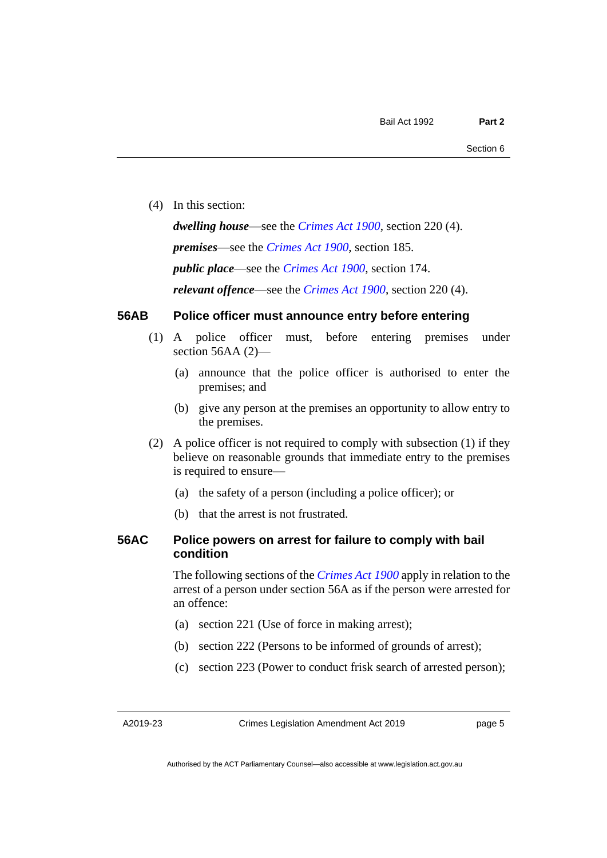(4) In this section:

*dwelling house*—see the *[Crimes Act](http://www.legislation.act.gov.au/a/1900-40) 1900*, section 220 (4). *premises*—see the *[Crimes Act](http://www.legislation.act.gov.au/a/1900-40) 1900*, section 185. *public place*—see the *[Crimes Act](http://www.legislation.act.gov.au/a/1900-40) 1900*, section 174. *relevant offence*—see the *[Crimes Act 1900](http://www.legislation.act.gov.au/a/1900-40)*, section 220 (4).

### **56AB Police officer must announce entry before entering**

- (1) A police officer must, before entering premises under section 56AA (2)-
	- (a) announce that the police officer is authorised to enter the premises; and
	- (b) give any person at the premises an opportunity to allow entry to the premises.
- (2) A police officer is not required to comply with subsection (1) if they believe on reasonable grounds that immediate entry to the premises is required to ensure—
	- (a) the safety of a person (including a police officer); or
	- (b) that the arrest is not frustrated.

### **56AC Police powers on arrest for failure to comply with bail condition**

The following sections of the *[Crimes Act](http://www.legislation.act.gov.au/a/1900-40) 1900* apply in relation to the arrest of a person under section 56A as if the person were arrested for an offence:

- (a) section 221 (Use of force in making arrest);
- (b) section 222 (Persons to be informed of grounds of arrest);
- (c) section 223 (Power to conduct frisk search of arrested person);

A2019-23

Crimes Legislation Amendment Act 2019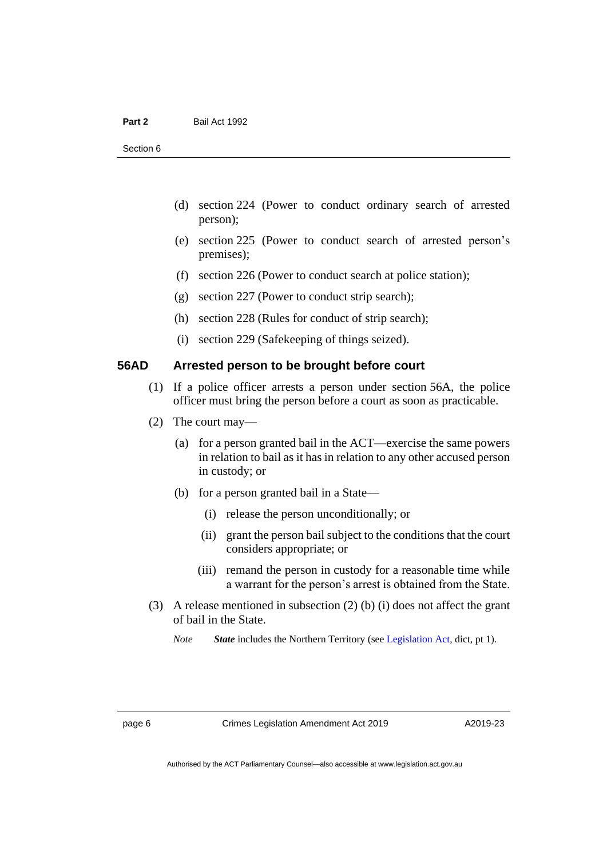- (d) section 224 (Power to conduct ordinary search of arrested person);
- (e) section 225 (Power to conduct search of arrested person's premises);
- (f) section 226 (Power to conduct search at police station);
- (g) section 227 (Power to conduct strip search);
- (h) section 228 (Rules for conduct of strip search);
- (i) section 229 (Safekeeping of things seized).

### **56AD Arrested person to be brought before court**

- (1) If a police officer arrests a person under section 56A, the police officer must bring the person before a court as soon as practicable.
- (2) The court may—
	- (a) for a person granted bail in the ACT—exercise the same powers in relation to bail as it has in relation to any other accused person in custody; or
	- (b) for a person granted bail in a State—
		- (i) release the person unconditionally; or
		- (ii) grant the person bail subject to the conditions that the court considers appropriate; or
		- (iii) remand the person in custody for a reasonable time while a warrant for the person's arrest is obtained from the State.
- (3) A release mentioned in subsection (2) (b) (i) does not affect the grant of bail in the State.
	- *Note State* includes the Northern Territory (see [Legislation Act,](http://www.legislation.act.gov.au/a/2001-14) dict, pt 1).

page 6 Crimes Legislation Amendment Act 2019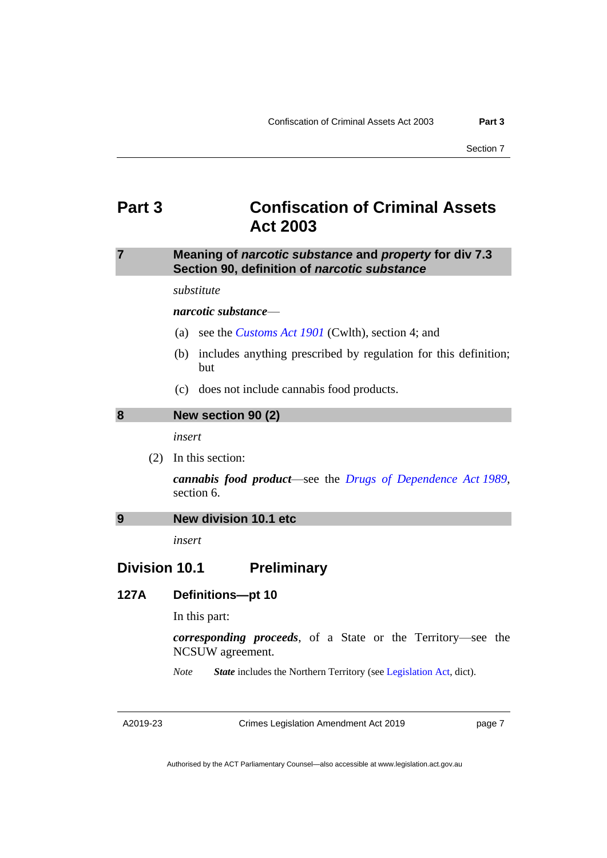### <span id="page-10-0"></span>**Part 3 Confiscation of Criminal Assets Act 2003**

### <span id="page-10-1"></span>**7 Meaning of** *narcotic substance* **and** *property* **for div 7.3 Section 90, definition of** *narcotic substance*

*substitute*

*narcotic substance*—

- (a) see the *[Customs Act](https://www.legislation.gov.au/Series/C1901A00006) 1901* (Cwlth), section 4; and
- (b) includes anything prescribed by regulation for this definition; but
- (c) does not include cannabis food products.

#### <span id="page-10-2"></span>**8 New section 90 (2)**

*insert*

(2) In this section:

*cannabis food product*—see the *[Drugs of Dependence Act](http://www.legislation.act.gov.au/a/alt_a1989-11co) 1989*, section 6.

### <span id="page-10-3"></span>**9 New division 10.1 etc**

*insert*

### **Division 10.1 Preliminary**

### **127A Definitions—pt 10**

In this part:

*corresponding proceeds*, of a State or the Territory—see the NCSUW agreement.

*Note State* includes the Northern Territory (see [Legislation Act,](http://www.legislation.act.gov.au/a/2001-14) dict).

Crimes Legislation Amendment Act 2019

page 7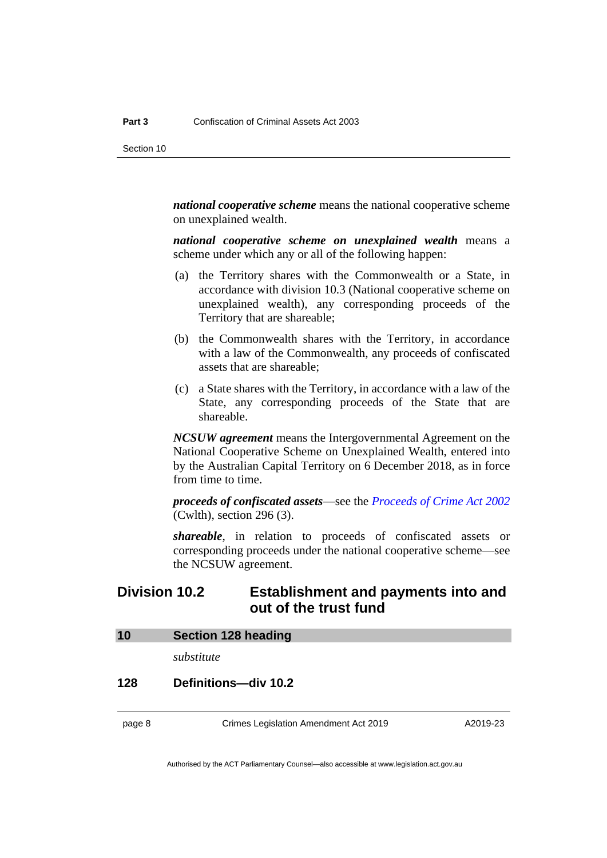*national cooperative scheme* means the national cooperative scheme on unexplained wealth.

*national cooperative scheme on unexplained wealth* means a scheme under which any or all of the following happen:

- (a) the Territory shares with the Commonwealth or a State, in accordance with division 10.3 (National cooperative scheme on unexplained wealth), any corresponding proceeds of the Territory that are shareable;
- (b) the Commonwealth shares with the Territory, in accordance with a law of the Commonwealth, any proceeds of confiscated assets that are shareable;
- (c) a State shares with the Territory, in accordance with a law of the State, any corresponding proceeds of the State that are shareable.

*NCSUW agreement* means the Intergovernmental Agreement on the National Cooperative Scheme on Unexplained Wealth, entered into by the Australian Capital Territory on 6 December 2018, as in force from time to time.

*proceeds of confiscated assets*—see the *[Proceeds of Crime Act](https://www.legislation.gov.au/Series/C2004A01022) 2002* (Cwlth), section 296 (3).

*shareable*, in relation to proceeds of confiscated assets or corresponding proceeds under the national cooperative scheme—see the NCSUW agreement.

### **Division 10.2 Establishment and payments into and out of the trust fund**

<span id="page-11-0"></span>

| 10 | <b>Section 128 heading</b> |  |  |
|----|----------------------------|--|--|
|----|----------------------------|--|--|

*substitute*

### **128 Definitions—div 10.2**

page 8 Crimes Legislation Amendment Act 2019

A2019-23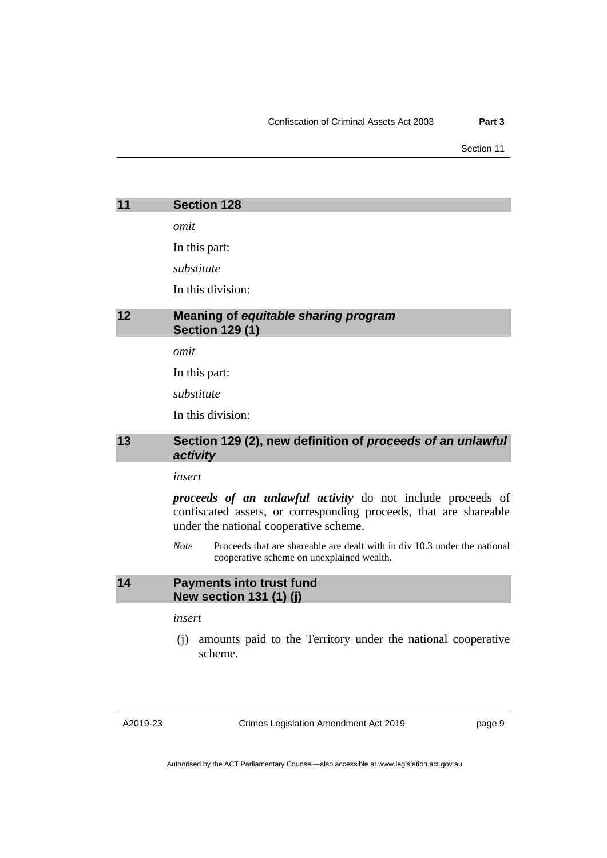Section 11

<span id="page-12-1"></span><span id="page-12-0"></span>

|    | <b>Section 128</b>                                                     |
|----|------------------------------------------------------------------------|
|    | omit                                                                   |
|    | In this part:                                                          |
|    | substitute                                                             |
|    | In this division:                                                      |
| 12 | <b>Meaning of equitable sharing program</b><br><b>Section 129 (1)</b>  |
|    | omit                                                                   |
|    | In this part:                                                          |
|    | substitute                                                             |
|    | In this division:                                                      |
| 13 | Section 129 (2), new definition of proceeds of an unlawful<br>activity |

<span id="page-12-2"></span>*insert*

*proceeds of an unlawful activity* do not include proceeds of confiscated assets, or corresponding proceeds, that are shareable under the national cooperative scheme.

*Note* Proceeds that are shareable are dealt with in div 10.3 under the national cooperative scheme on unexplained wealth.

### <span id="page-12-3"></span>**14 Payments into trust fund New section 131 (1) (j)**

*insert*

(j) amounts paid to the Territory under the national cooperative scheme.

Crimes Legislation Amendment Act 2019

page 9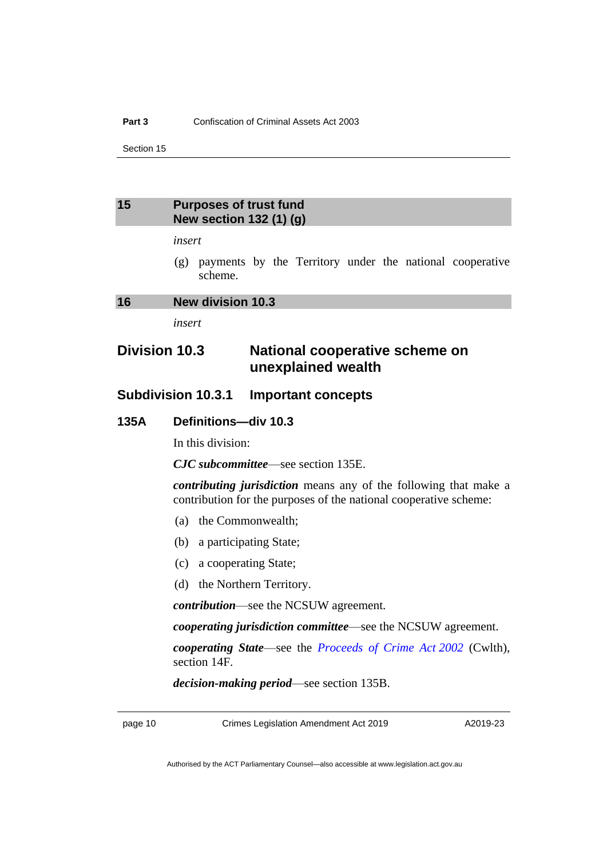Section 15

### <span id="page-13-0"></span>**15 Purposes of trust fund New section 132 (1) (g)**

### *insert*

(g) payments by the Territory under the national cooperative scheme.

### <span id="page-13-1"></span>**16 New division 10.3**

*insert*

### **Division 10.3 National cooperative scheme on unexplained wealth**

### **Subdivision 10.3.1 Important concepts**

### **135A Definitions—div 10.3**

In this division:

*CJC subcommittee*—see section 135E.

*contributing jurisdiction* means any of the following that make a contribution for the purposes of the national cooperative scheme:

- (a) the Commonwealth;
- (b) a participating State;
- (c) a cooperating State;
- (d) the Northern Territory.

*contribution*—see the NCSUW agreement.

*cooperating jurisdiction committee*—see the NCSUW agreement.

*cooperating State*—see the *[Proceeds of Crime Act](https://www.legislation.gov.au/Series/C2004A01022) 2002* (Cwlth), section 14F.

*decision-making period*—see section 135B.

page 10 Crimes Legislation Amendment Act 2019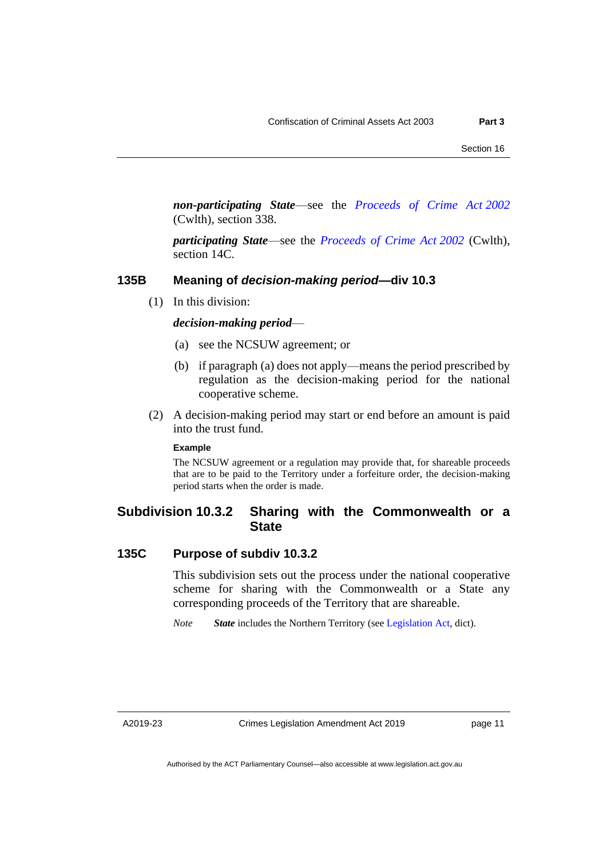*non-participating State*—see the *[Proceeds of Crime Act](https://www.legislation.gov.au/Series/C2004A01022) 2002* (Cwlth), section 338.

*participating State*—see the *[Proceeds of Crime Act](https://www.legislation.gov.au/Series/C2004A01022) 2002* (Cwlth), section 14C.

### **135B Meaning of** *decision-making period***—div 10.3**

(1) In this division:

### *decision-making period*—

- (a) see the NCSUW agreement; or
- (b) if paragraph (a) does not apply—means the period prescribed by regulation as the decision-making period for the national cooperative scheme.
- (2) A decision-making period may start or end before an amount is paid into the trust fund.

#### **Example**

The NCSUW agreement or a regulation may provide that, for shareable proceeds that are to be paid to the Territory under a forfeiture order, the decision-making period starts when the order is made.

### **Subdivision 10.3.2 Sharing with the Commonwealth or a State**

### **135C Purpose of subdiv 10.3.2**

This subdivision sets out the process under the national cooperative scheme for sharing with the Commonwealth or a State any corresponding proceeds of the Territory that are shareable.

*Note* **State** includes the Northern Territory (see [Legislation Act,](http://www.legislation.act.gov.au/a/2001-14) dict).

A2019-23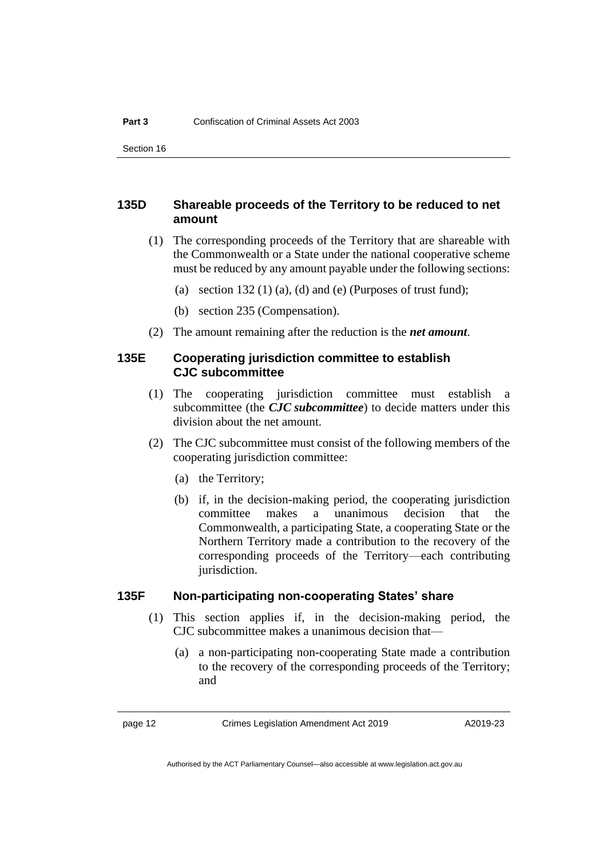Section 16

### **135D Shareable proceeds of the Territory to be reduced to net amount**

- (1) The corresponding proceeds of the Territory that are shareable with the Commonwealth or a State under the national cooperative scheme must be reduced by any amount payable under the following sections:
	- (a) section  $132(1)$  (a), (d) and (e) (Purposes of trust fund);
	- (b) section 235 (Compensation).
- (2) The amount remaining after the reduction is the *net amount*.

### **135E Cooperating jurisdiction committee to establish CJC subcommittee**

- (1) The cooperating jurisdiction committee must establish a subcommittee (the *CJC subcommittee*) to decide matters under this division about the net amount.
- (2) The CJC subcommittee must consist of the following members of the cooperating jurisdiction committee:
	- (a) the Territory;
	- (b) if, in the decision-making period, the cooperating jurisdiction committee makes a unanimous decision that the Commonwealth, a participating State, a cooperating State or the Northern Territory made a contribution to the recovery of the corresponding proceeds of the Territory—each contributing jurisdiction.

### **135F Non-participating non-cooperating States' share**

- (1) This section applies if, in the decision-making period, the CJC subcommittee makes a unanimous decision that—
	- (a) a non-participating non-cooperating State made a contribution to the recovery of the corresponding proceeds of the Territory; and

page 12 Crimes Legislation Amendment Act 2019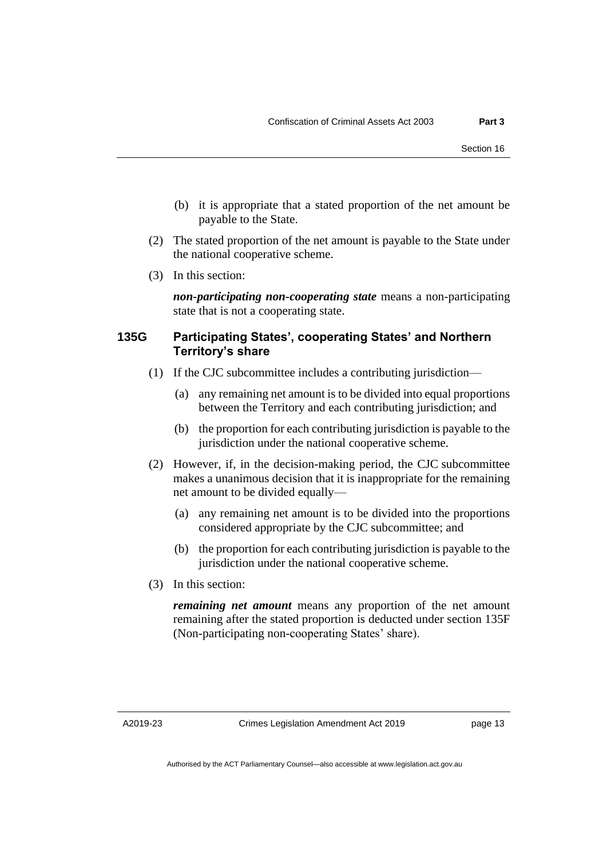- (b) it is appropriate that a stated proportion of the net amount be payable to the State.
- (2) The stated proportion of the net amount is payable to the State under the national cooperative scheme.
- (3) In this section:

*non-participating non-cooperating state* means a non-participating state that is not a cooperating state.

### **135G Participating States', cooperating States' and Northern Territory's share**

- (1) If the CJC subcommittee includes a contributing jurisdiction—
	- (a) any remaining net amount is to be divided into equal proportions between the Territory and each contributing jurisdiction; and
	- (b) the proportion for each contributing jurisdiction is payable to the jurisdiction under the national cooperative scheme.
- (2) However, if, in the decision-making period, the CJC subcommittee makes a unanimous decision that it is inappropriate for the remaining net amount to be divided equally—
	- (a) any remaining net amount is to be divided into the proportions considered appropriate by the CJC subcommittee; and
	- (b) the proportion for each contributing jurisdiction is payable to the jurisdiction under the national cooperative scheme.
- (3) In this section:

*remaining net amount* means any proportion of the net amount remaining after the stated proportion is deducted under section 135F (Non-participating non-cooperating States' share).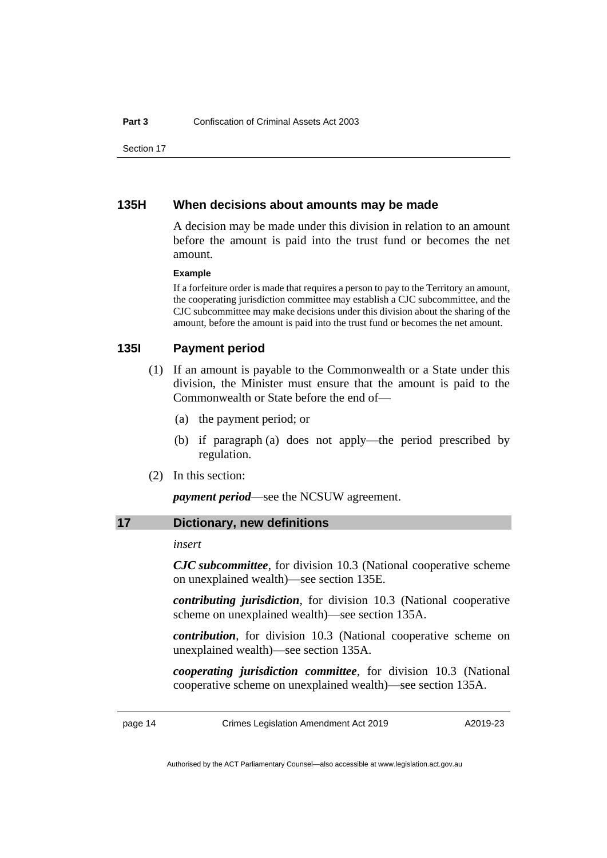Section 17

### **135H When decisions about amounts may be made**

A decision may be made under this division in relation to an amount before the amount is paid into the trust fund or becomes the net amount.

#### **Example**

If a forfeiture order is made that requires a person to pay to the Territory an amount, the cooperating jurisdiction committee may establish a CJC subcommittee, and the CJC subcommittee may make decisions under this division about the sharing of the amount, before the amount is paid into the trust fund or becomes the net amount.

### **135I Payment period**

- (1) If an amount is payable to the Commonwealth or a State under this division, the Minister must ensure that the amount is paid to the Commonwealth or State before the end of—
	- (a) the payment period; or
	- (b) if paragraph (a) does not apply—the period prescribed by regulation.
- (2) In this section:

*payment period*—see the NCSUW agreement.

### <span id="page-17-0"></span>**17 Dictionary, new definitions**

### *insert*

*CJC subcommittee*, for division 10.3 (National cooperative scheme on unexplained wealth)—see section 135E.

*contributing jurisdiction*, for division 10.3 (National cooperative scheme on unexplained wealth)—see section 135A.

*contribution*, for division 10.3 (National cooperative scheme on unexplained wealth)—see section 135A.

*cooperating jurisdiction committee*, for division 10.3 (National cooperative scheme on unexplained wealth)—see section 135A.

page 14 Crimes Legislation Amendment Act 2019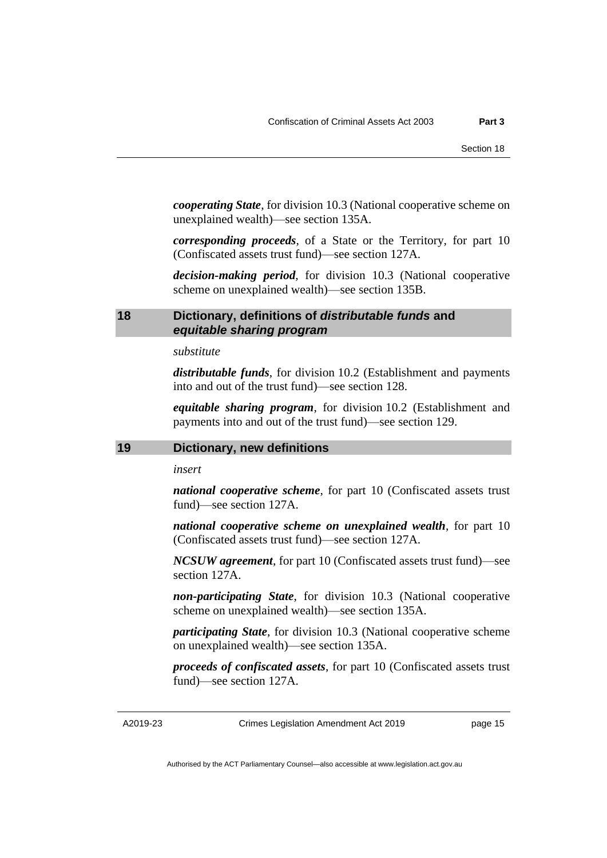*cooperating State*, for division 10.3 (National cooperative scheme on unexplained wealth)—see section 135A.

*corresponding proceeds*, of a State or the Territory, for part 10 (Confiscated assets trust fund)—see section 127A.

*decision-making period*, for division 10.3 (National cooperative scheme on unexplained wealth)—see section 135B.

### <span id="page-18-0"></span>**18 Dictionary, definitions of** *distributable funds* **and** *equitable sharing program*

### *substitute*

*distributable funds*, for division 10.2 (Establishment and payments into and out of the trust fund)—see section 128.

*equitable sharing program*, for division 10.2 (Establishment and payments into and out of the trust fund)—see section 129.

### <span id="page-18-1"></span>**19 Dictionary, new definitions**

*insert*

*national cooperative scheme*, for part 10 (Confiscated assets trust fund)—see section 127A.

*national cooperative scheme on unexplained wealth*, for part 10 (Confiscated assets trust fund)—see section 127A.

*NCSUW agreement*, for part 10 (Confiscated assets trust fund)—see section 127A.

*non-participating State*, for division 10.3 (National cooperative scheme on unexplained wealth)—see section 135A.

*participating State*, for division 10.3 (National cooperative scheme on unexplained wealth)—see section 135A.

*proceeds of confiscated assets*, for part 10 (Confiscated assets trust fund)—see section 127A.

A2019-23

Crimes Legislation Amendment Act 2019

page 15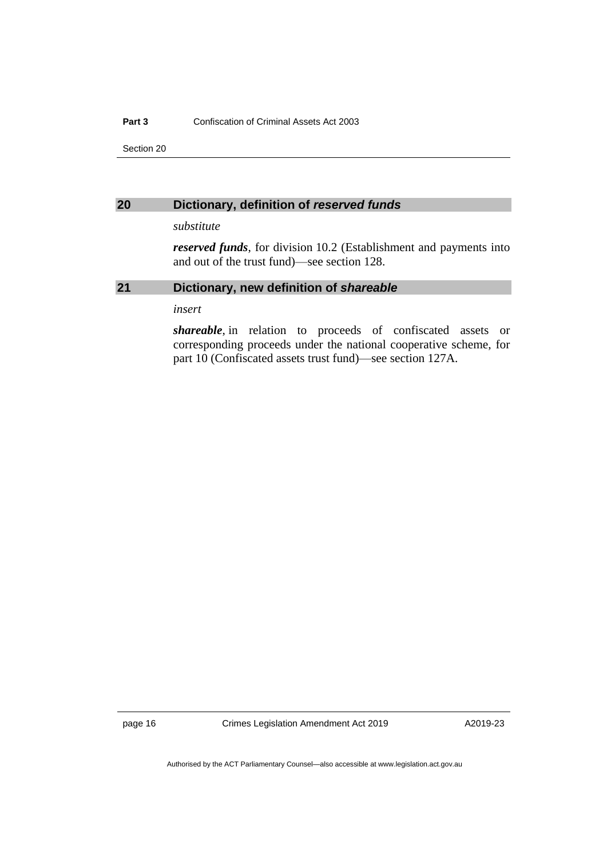#### **Part 3** Confiscation of Criminal Assets Act 2003

Section 20

### <span id="page-19-0"></span>**20 Dictionary, definition of** *reserved funds*

### *substitute*

*reserved funds*, for division 10.2 (Establishment and payments into and out of the trust fund)—see section 128.

### <span id="page-19-1"></span>**21 Dictionary, new definition of** *shareable*

*insert*

*shareable*, in relation to proceeds of confiscated assets or corresponding proceeds under the national cooperative scheme, for part 10 (Confiscated assets trust fund)—see section 127A.

page 16 Crimes Legislation Amendment Act 2019

A2019-23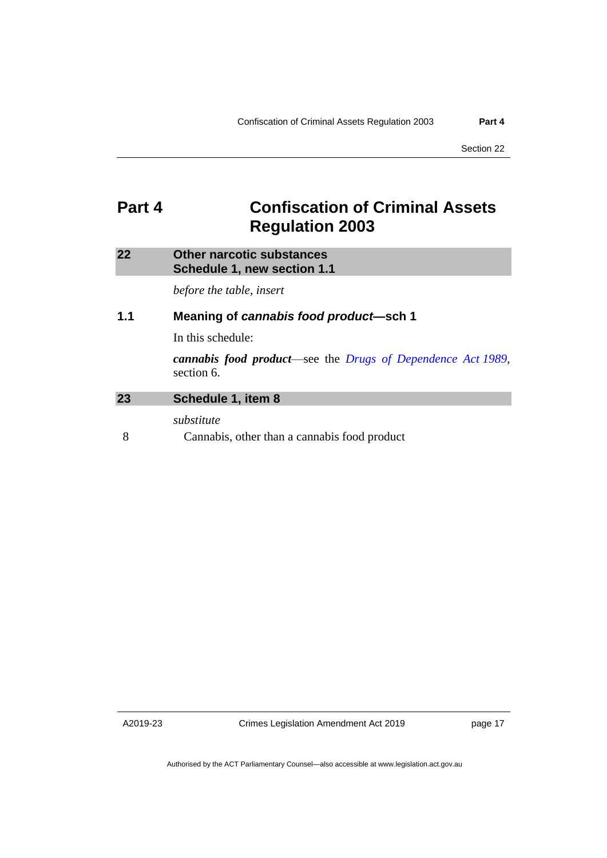### <span id="page-20-0"></span>**Part 4 Confiscation of Criminal Assets Regulation 2003**

### <span id="page-20-1"></span>**22 Other narcotic substances Schedule 1, new section 1.1**

*before the table, insert*

### **1.1 Meaning of** *cannabis food product***—sch 1**

In this schedule:

*cannabis food product*—see the *[Drugs of Dependence Act](http://www.legislation.act.gov.au/a/alt_a1989-11co) 1989*, section 6.

### <span id="page-20-2"></span>**23 Schedule 1, item 8**

*substitute*

8 Cannabis, other than a cannabis food product

A2019-23

Crimes Legislation Amendment Act 2019

page 17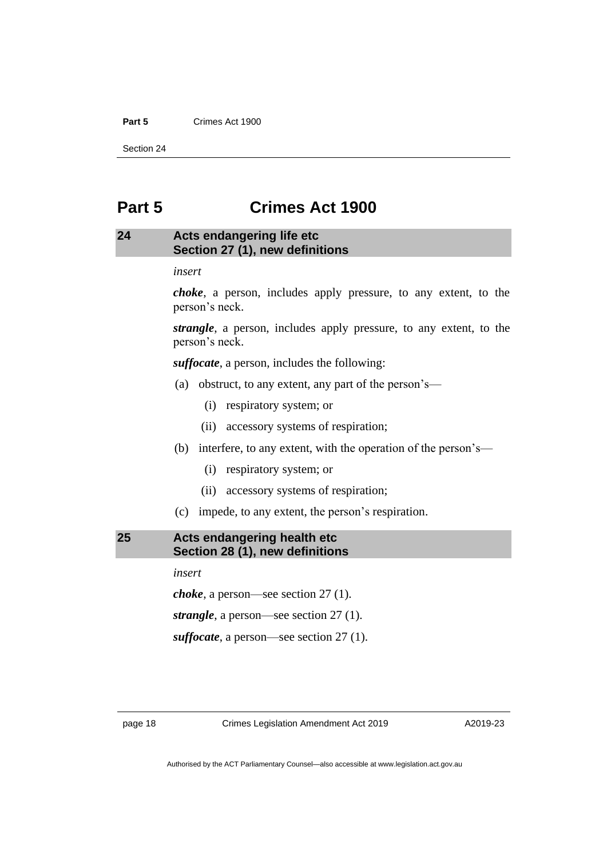### **Part 5** Crimes Act 1900

Section 24

### <span id="page-21-0"></span>**Part 5 Crimes Act 1900**

### <span id="page-21-1"></span>**24 Acts endangering life etc Section 27 (1), new definitions**

*insert*

*choke*, a person, includes apply pressure, to any extent, to the person's neck.

*strangle*, a person, includes apply pressure, to any extent, to the person's neck.

*suffocate*, a person, includes the following:

- (a) obstruct, to any extent, any part of the person's—
	- (i) respiratory system; or
	- (ii) accessory systems of respiration;
- (b) interfere, to any extent, with the operation of the person's—
	- (i) respiratory system; or
	- (ii) accessory systems of respiration;
- (c) impede, to any extent, the person's respiration.

### <span id="page-21-2"></span>**25 Acts endangering health etc Section 28 (1), new definitions**

*insert*

*choke*, a person—see section 27 (1).

*strangle*, a person—see section 27 (1).

*suffocate*, a person—see section 27 (1).

page 18 Crimes Legislation Amendment Act 2019

A2019-23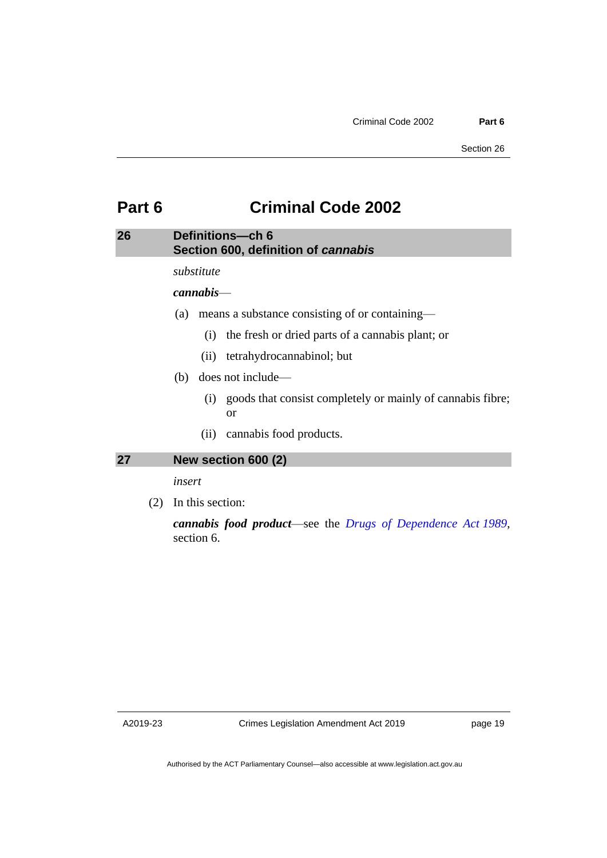### <span id="page-22-0"></span>**Part 6 Criminal Code 2002**

### <span id="page-22-1"></span>**26 Definitions—ch 6 Section 600, definition of** *cannabis*

*substitute*

*cannabis*—

- (a) means a substance consisting of or containing—
	- (i) the fresh or dried parts of a cannabis plant; or
	- (ii) tetrahydrocannabinol; but
- (b) does not include—
	- (i) goods that consist completely or mainly of cannabis fibre; or
	- (ii) cannabis food products.

### <span id="page-22-2"></span>**27 New section 600 (2)**

*insert*

(2) In this section:

*cannabis food product*—see the *[Drugs of Dependence Act](http://www.legislation.act.gov.au/a/alt_a1989-11co) 1989*, section 6.

A2019-23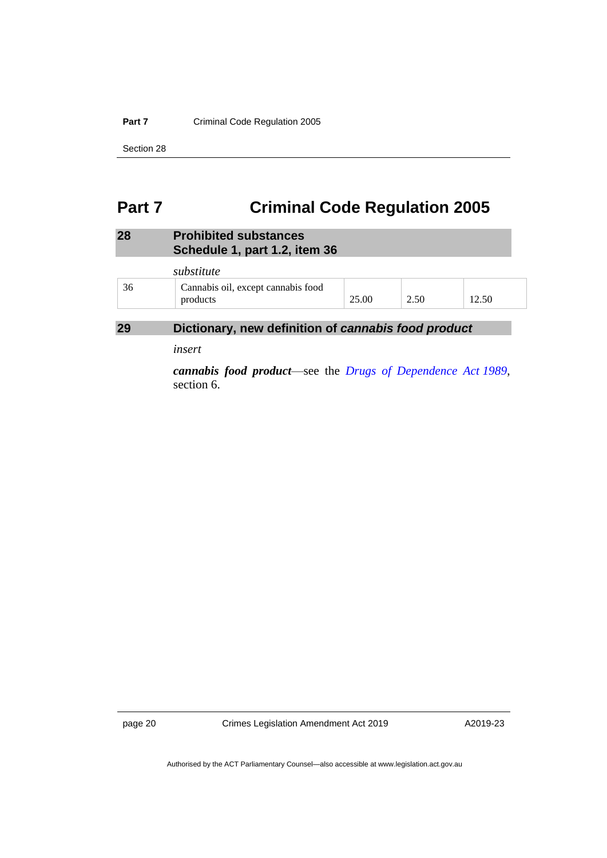### **Part 7** Criminal Code Regulation 2005

Section 28

### <span id="page-23-0"></span>**Part 7 Criminal Code Regulation 2005**

### <span id="page-23-1"></span>**28 Prohibited substances Schedule 1, part 1.2, item 36**

|    | substitute                                     |       |      |       |
|----|------------------------------------------------|-------|------|-------|
| 36 | Cannabis oil, except cannabis food<br>products | 25.00 | 2.50 | 12.50 |

### <span id="page-23-2"></span>**29 Dictionary, new definition of** *cannabis food product*

*insert*

*cannabis food product*—see the *[Drugs of Dependence Act](http://www.legislation.act.gov.au/a/alt_a1989-11co) 1989*, section 6.

page 20 Crimes Legislation Amendment Act 2019

A2019-23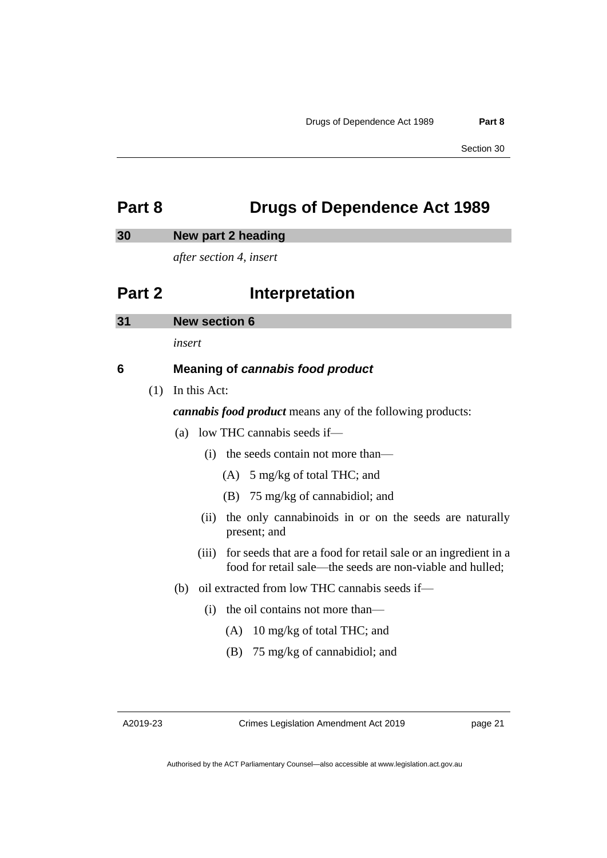### <span id="page-24-0"></span>**Part 8 Drugs of Dependence Act 1989**

### <span id="page-24-1"></span>**30 New part 2 heading**

*after section 4, insert*

### **Part 2 Interpretation**

<span id="page-24-2"></span>

| 31 | <b>New section 6</b> |  |
|----|----------------------|--|
|    |                      |  |

*insert*

### **6 Meaning of** *cannabis food product*

(1) In this Act:

*cannabis food product* means any of the following products:

- (a) low THC cannabis seeds if—
	- (i) the seeds contain not more than—
		- (A) 5 mg/kg of total THC; and
		- (B) 75 mg/kg of cannabidiol; and
	- (ii) the only cannabinoids in or on the seeds are naturally present; and
	- (iii) for seeds that are a food for retail sale or an ingredient in a food for retail sale—the seeds are non-viable and hulled;
- (b) oil extracted from low THC cannabis seeds if—
	- (i) the oil contains not more than—
		- (A) 10 mg/kg of total THC; and
		- (B) 75 mg/kg of cannabidiol; and

A2019-23

Crimes Legislation Amendment Act 2019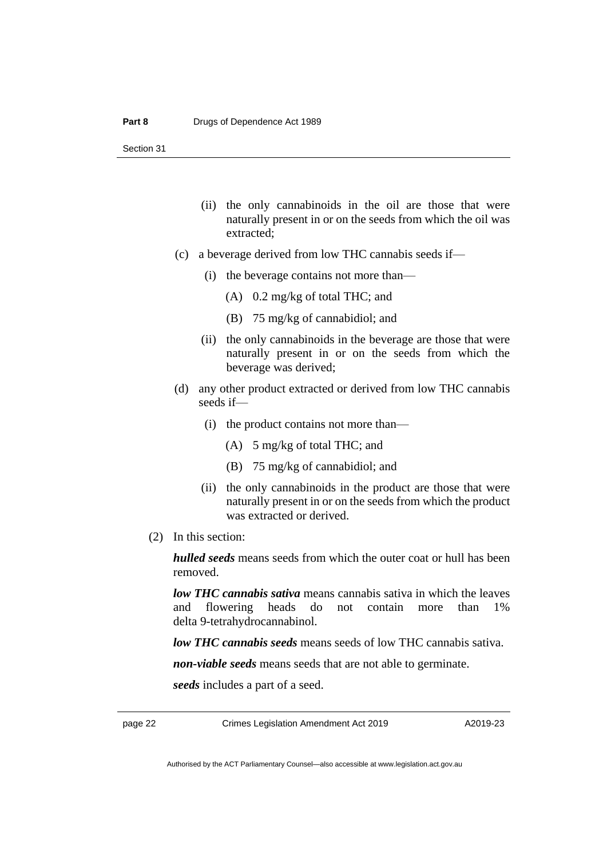Section 31

- (ii) the only cannabinoids in the oil are those that were naturally present in or on the seeds from which the oil was extracted;
- (c) a beverage derived from low THC cannabis seeds if—
	- (i) the beverage contains not more than—
		- (A) 0.2 mg/kg of total THC; and
		- (B) 75 mg/kg of cannabidiol; and
	- (ii) the only cannabinoids in the beverage are those that were naturally present in or on the seeds from which the beverage was derived;
- (d) any other product extracted or derived from low THC cannabis seeds if—
	- (i) the product contains not more than—
		- (A) 5 mg/kg of total THC; and
		- (B) 75 mg/kg of cannabidiol; and
	- (ii) the only cannabinoids in the product are those that were naturally present in or on the seeds from which the product was extracted or derived.
- (2) In this section:

*hulled seeds* means seeds from which the outer coat or hull has been removed.

*low THC cannabis sativa* means cannabis sativa in which the leaves and flowering heads do not contain more than 1% delta 9-tetrahydrocannabinol.

*low THC cannabis seeds* means seeds of low THC cannabis sativa.

*non-viable seeds* means seeds that are not able to germinate.

*seeds* includes a part of a seed.

page 22 Crimes Legislation Amendment Act 2019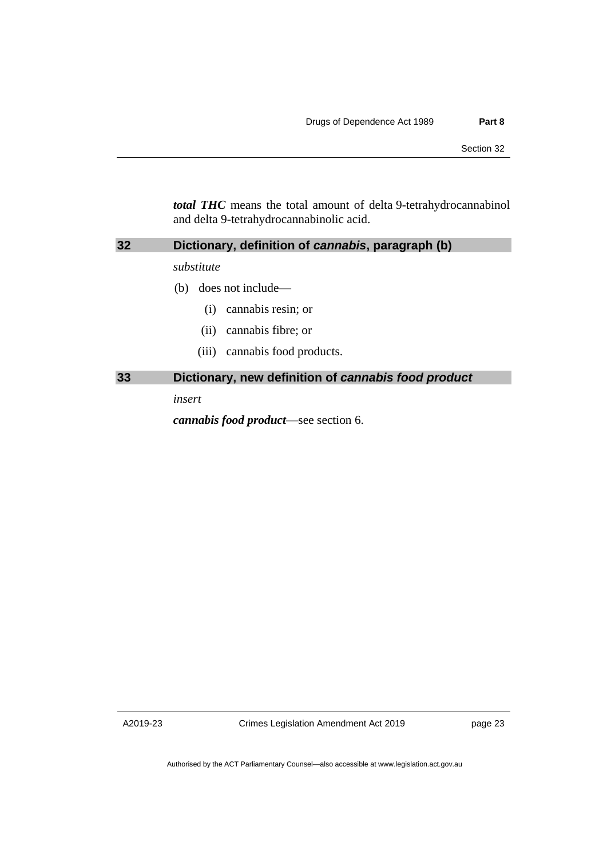*total THC* means the total amount of delta 9-tetrahydrocannabinol and delta 9-tetrahydrocannabinolic acid.

<span id="page-26-0"></span>

| 32 | Dictionary, definition of cannabis, paragraph (b)   |  |  |  |
|----|-----------------------------------------------------|--|--|--|
|    | substitute                                          |  |  |  |
|    | does not include—<br>(b)                            |  |  |  |
|    | cannabis resin; or<br>(i)                           |  |  |  |
|    | cannabis fibre; or<br>(11)                          |  |  |  |
|    | cannabis food products.<br>(iii)                    |  |  |  |
| 33 | Dictionary, new definition of cannabis food product |  |  |  |
|    | insert                                              |  |  |  |

<span id="page-26-1"></span>*cannabis food product*—see section 6.

A2019-23

Crimes Legislation Amendment Act 2019

page 23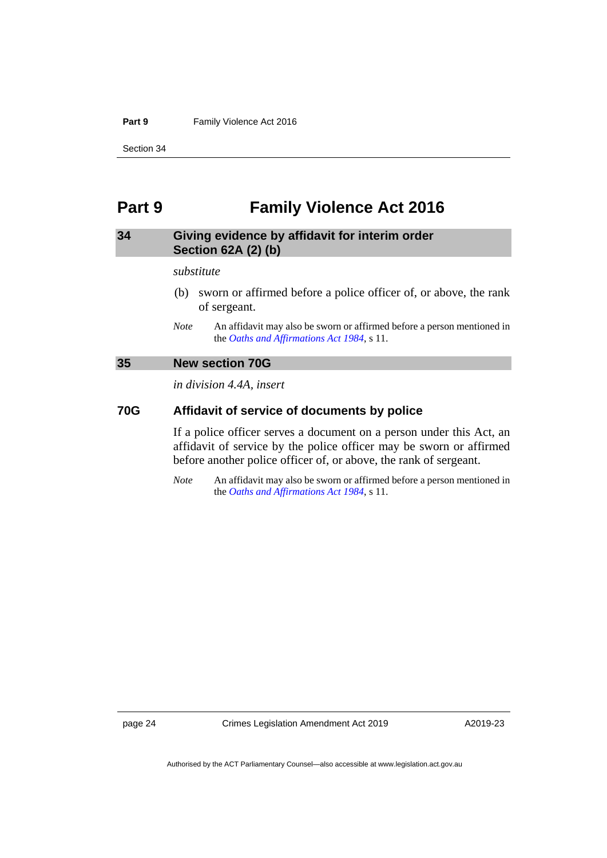#### Part 9 **Family Violence Act 2016**

Section 34

### <span id="page-27-0"></span>**Part 9 Family Violence Act 2016**

### <span id="page-27-1"></span>**34 Giving evidence by affidavit for interim order Section 62A (2) (b)**

#### *substitute*

- (b) sworn or affirmed before a police officer of, or above, the rank of sergeant.
- *Note* An affidavit may also be sworn or affirmed before a person mentioned in the *[Oaths and Affirmations Act](http://www.legislation.act.gov.au/a/1984-79) 1984*, s 11.

### <span id="page-27-2"></span>**35 New section 70G**

*in division 4.4A, insert*

### **70G Affidavit of service of documents by police**

If a police officer serves a document on a person under this Act, an affidavit of service by the police officer may be sworn or affirmed before another police officer of, or above, the rank of sergeant.

*Note* An affidavit may also be sworn or affirmed before a person mentioned in the *[Oaths and Affirmations Act](http://www.legislation.act.gov.au/a/1984-79) 1984*, s 11.

page 24 Crimes Legislation Amendment Act 2019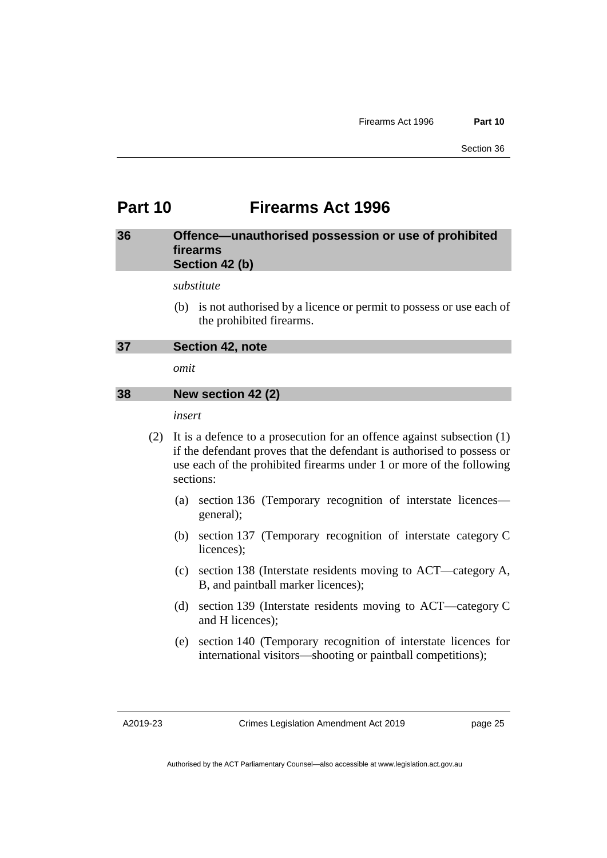### <span id="page-28-0"></span>**Part 10 Firearms Act 1996**

### <span id="page-28-1"></span>**36 Offence—unauthorised possession or use of prohibited firearms Section 42 (b)**

*substitute*

(b) is not authorised by a licence or permit to possess or use each of the prohibited firearms.

```
37 Section 42, note
```
*omit*

### <span id="page-28-3"></span>**38 New section 42 (2)**

*insert*

- (2) It is a defence to a prosecution for an offence against subsection (1) if the defendant proves that the defendant is authorised to possess or use each of the prohibited firearms under 1 or more of the following sections:
	- (a) section 136 (Temporary recognition of interstate licences general);
	- (b) section 137 (Temporary recognition of interstate category C licences);
	- (c) section 138 (Interstate residents moving to ACT—category A, B, and paintball marker licences);
	- (d) section 139 (Interstate residents moving to ACT—category C and H licences);
	- (e) section 140 (Temporary recognition of interstate licences for international visitors—shooting or paintball competitions);

A2019-23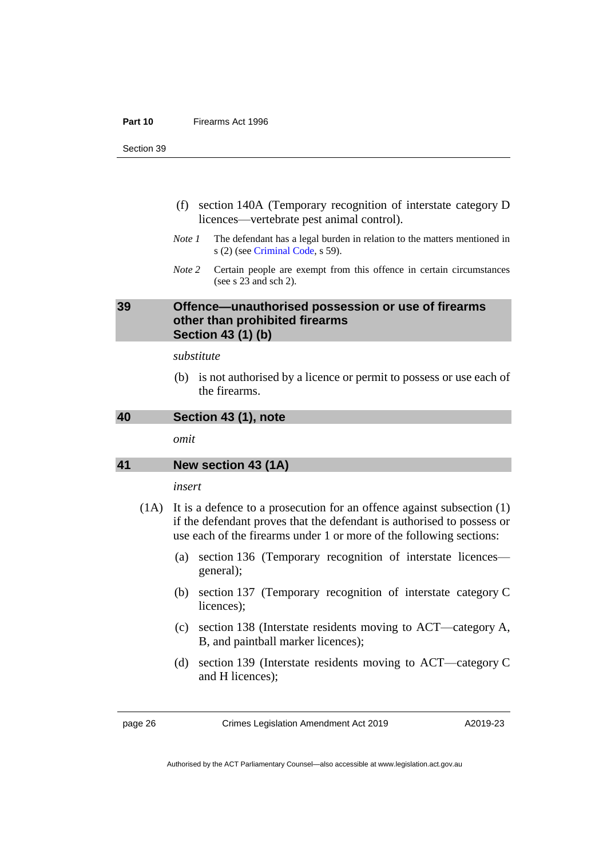#### **Part 10** Firearms Act 1996

Section 39

- (f) section 140A (Temporary recognition of interstate category D licences—vertebrate pest animal control).
- *Note 1* The defendant has a legal burden in relation to the matters mentioned in s (2) (see [Criminal Code,](http://www.legislation.act.gov.au/a/2002-51) s 59).
- *Note 2* Certain people are exempt from this offence in certain circumstances (see s 23 and sch 2).

### <span id="page-29-0"></span>**39 Offence—unauthorised possession or use of firearms other than prohibited firearms Section 43 (1) (b)**

### *substitute*

(b) is not authorised by a licence or permit to possess or use each of the firearms.

<span id="page-29-1"></span>**40 Section 43 (1), note**

*omit*

### <span id="page-29-2"></span>**41 New section 43 (1A)**

### *insert*

- (1A) It is a defence to a prosecution for an offence against subsection (1) if the defendant proves that the defendant is authorised to possess or use each of the firearms under 1 or more of the following sections:
	- (a) section 136 (Temporary recognition of interstate licences general);
	- (b) section 137 (Temporary recognition of interstate category C licences);
	- (c) section 138 (Interstate residents moving to ACT—category A, B, and paintball marker licences);
	- (d) section 139 (Interstate residents moving to ACT—category C and H licences);

page 26 Crimes Legislation Amendment Act 2019

A2019-23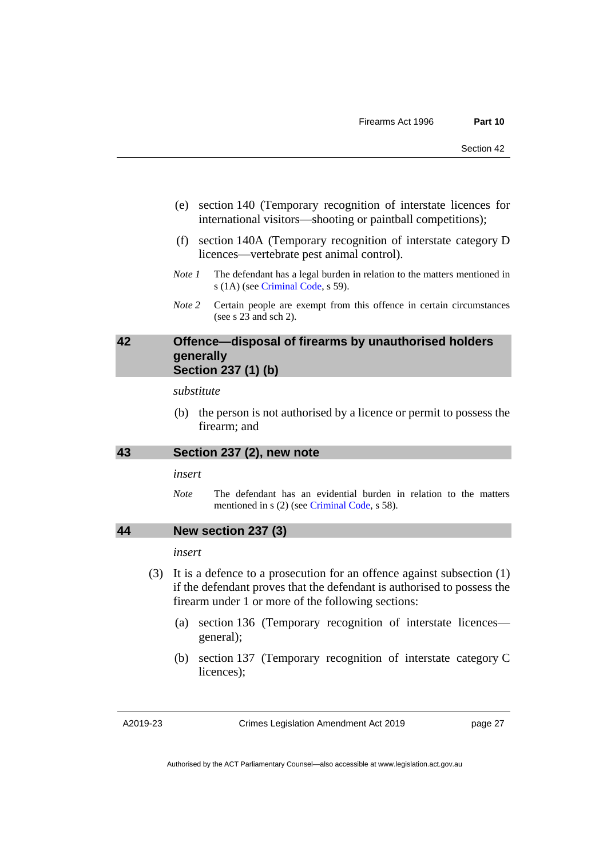- (e) section 140 (Temporary recognition of interstate licences for international visitors—shooting or paintball competitions);
- (f) section 140A (Temporary recognition of interstate category D licences—vertebrate pest animal control).
- *Note 1* The defendant has a legal burden in relation to the matters mentioned in s (1A) (see [Criminal Code,](http://www.legislation.act.gov.au/a/2002-51) s 59).
- *Note 2* Certain people are exempt from this offence in certain circumstances (see s 23 and sch 2).

### <span id="page-30-0"></span>**42 Offence—disposal of firearms by unauthorised holders generally Section 237 (1) (b)**

*substitute*

(b) the person is not authorised by a licence or permit to possess the firearm; and

### <span id="page-30-1"></span>**43 Section 237 (2), new note**

*insert*

*Note* The defendant has an evidential burden in relation to the matters mentioned in s (2) (see [Criminal Code,](http://www.legislation.act.gov.au/a/2002-51) s 58).

### <span id="page-30-2"></span>**44 New section 237 (3)**

*insert*

- (3) It is a defence to a prosecution for an offence against subsection (1) if the defendant proves that the defendant is authorised to possess the firearm under 1 or more of the following sections:
	- (a) section 136 (Temporary recognition of interstate licences general);
	- (b) section 137 (Temporary recognition of interstate category C licences);

A2019-23

Crimes Legislation Amendment Act 2019

page 27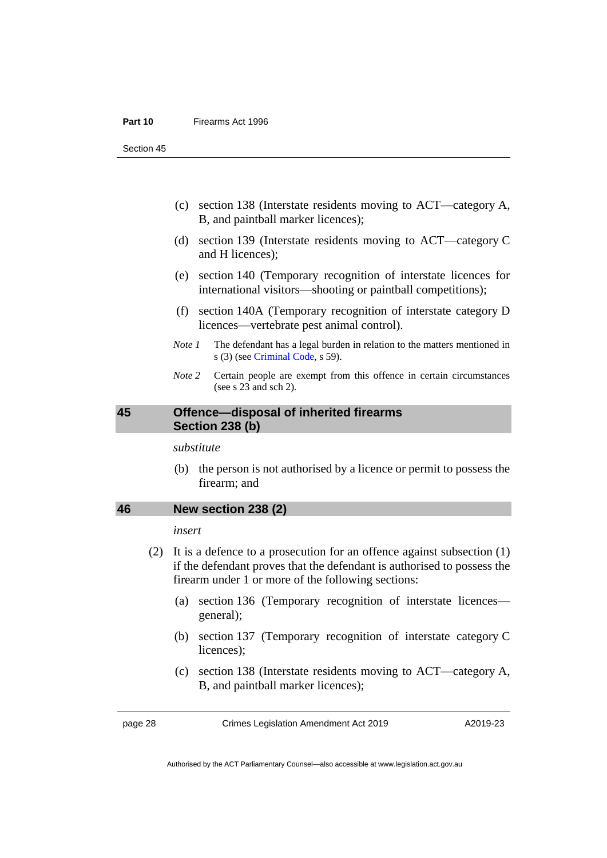#### **Part 10** Firearms Act 1996

Section 45

- (c) section 138 (Interstate residents moving to ACT—category A, B, and paintball marker licences);
- (d) section 139 (Interstate residents moving to ACT—category C and H licences);
- (e) section 140 (Temporary recognition of interstate licences for international visitors—shooting or paintball competitions);
- (f) section 140A (Temporary recognition of interstate category D licences—vertebrate pest animal control).
- *Note 1* The defendant has a legal burden in relation to the matters mentioned in s (3) (see [Criminal Code,](http://www.legislation.act.gov.au/a/2002-51) s 59).
- *Note 2* Certain people are exempt from this offence in certain circumstances (see s  $23$  and sch 2).

### <span id="page-31-0"></span>**45 Offence—disposal of inherited firearms Section 238 (b)**

*substitute*

(b) the person is not authorised by a licence or permit to possess the firearm; and

### <span id="page-31-1"></span>**46 New section 238 (2)**

### *insert*

- (2) It is a defence to a prosecution for an offence against subsection (1) if the defendant proves that the defendant is authorised to possess the firearm under 1 or more of the following sections:
	- (a) section 136 (Temporary recognition of interstate licences general);
	- (b) section 137 (Temporary recognition of interstate category C licences);
	- (c) section 138 (Interstate residents moving to ACT—category A, B, and paintball marker licences);

page 28 Crimes Legislation Amendment Act 2019

A2019-23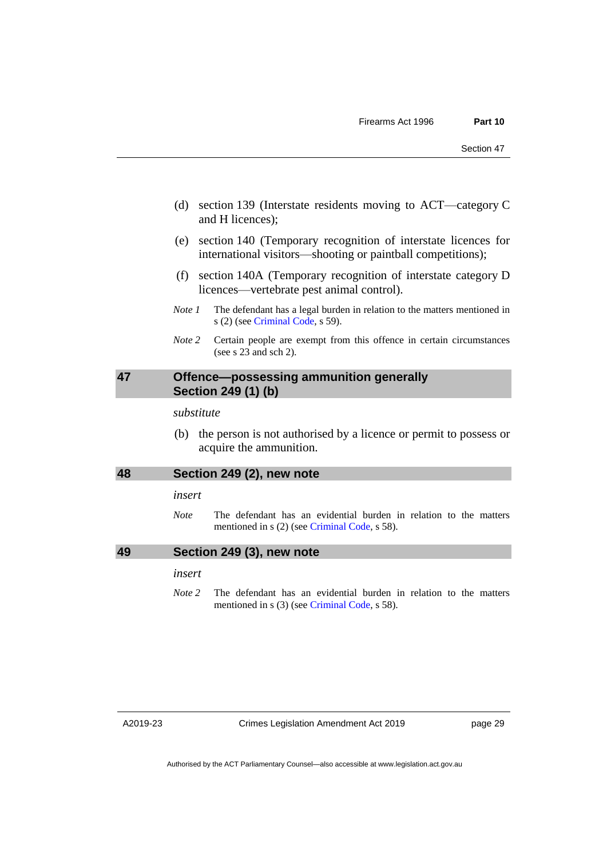- (d) section 139 (Interstate residents moving to ACT—category C and H licences);
- (e) section 140 (Temporary recognition of interstate licences for international visitors—shooting or paintball competitions);
- (f) section 140A (Temporary recognition of interstate category D licences—vertebrate pest animal control).
- *Note 1* The defendant has a legal burden in relation to the matters mentioned in s (2) (see [Criminal Code,](http://www.legislation.act.gov.au/a/2002-51) s 59).
- *Note 2* Certain people are exempt from this offence in certain circumstances (see s 23 and sch 2).

### <span id="page-32-0"></span>**47 Offence—possessing ammunition generally Section 249 (1) (b)**

*substitute*

(b) the person is not authorised by a licence or permit to possess or acquire the ammunition.

### <span id="page-32-1"></span>**48 Section 249 (2), new note**

### *insert*

*Note* The defendant has an evidential burden in relation to the matters mentioned in s (2) (see [Criminal Code,](http://www.legislation.act.gov.au/a/2002-51) s 58).

### <span id="page-32-2"></span>**49 Section 249 (3), new note**

### *insert*

*Note* 2 The defendant has an evidential burden in relation to the matters mentioned in s (3) (see [Criminal Code,](http://www.legislation.act.gov.au/a/2002-51) s 58).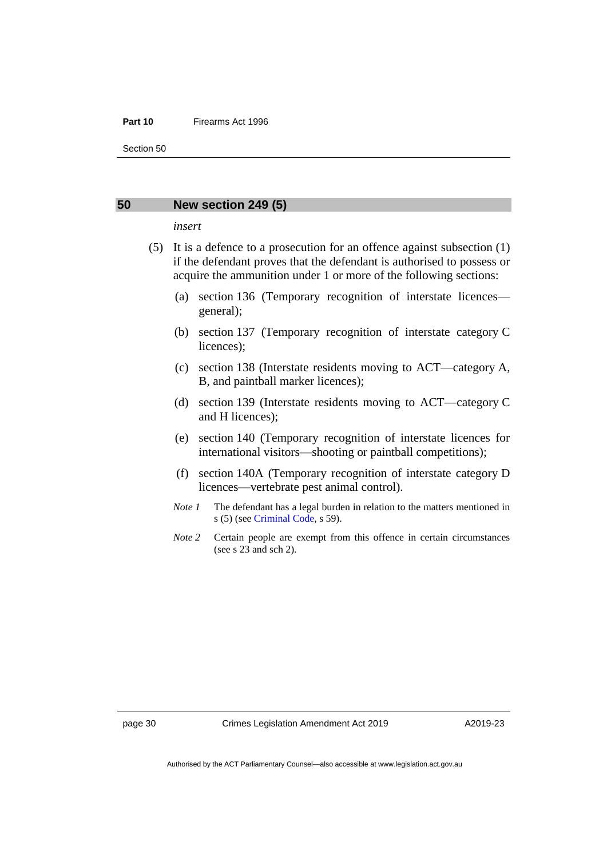#### **Part 10** Firearms Act 1996

Section 50

### <span id="page-33-0"></span>**50 New section 249 (5)**

*insert*

- (5) It is a defence to a prosecution for an offence against subsection (1) if the defendant proves that the defendant is authorised to possess or acquire the ammunition under 1 or more of the following sections:
	- (a) section 136 (Temporary recognition of interstate licences general);
	- (b) section 137 (Temporary recognition of interstate category C licences);
	- (c) section 138 (Interstate residents moving to ACT—category A, B, and paintball marker licences);
	- (d) section 139 (Interstate residents moving to ACT—category C and H licences);
	- (e) section 140 (Temporary recognition of interstate licences for international visitors—shooting or paintball competitions);
	- (f) section 140A (Temporary recognition of interstate category D licences—vertebrate pest animal control).
	- *Note 1* The defendant has a legal burden in relation to the matters mentioned in s (5) (see [Criminal Code,](http://www.legislation.act.gov.au/a/2002-51) s 59).
	- *Note* 2 Certain people are exempt from this offence in certain circumstances (see s 23 and sch 2).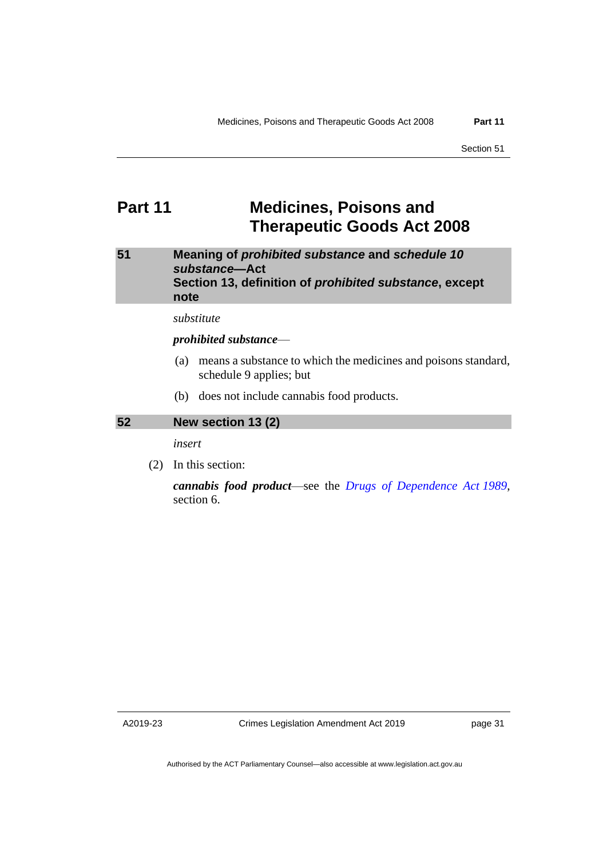### <span id="page-34-0"></span>**Part 11 Medicines, Poisons and Therapeutic Goods Act 2008**

<span id="page-34-1"></span>**51 Meaning of** *prohibited substance* **and** *schedule 10 substance***—Act Section 13, definition of** *prohibited substance***, except note**

*substitute*

### *prohibited substance*—

- (a) means a substance to which the medicines and poisons standard, schedule 9 applies; but
- (b) does not include cannabis food products.

### <span id="page-34-2"></span>**52 New section 13 (2)**

*insert*

(2) In this section:

*cannabis food product*—see the *[Drugs of Dependence Act](http://www.legislation.act.gov.au/a/alt_a1989-11co) 1989*, section 6.

A2019-23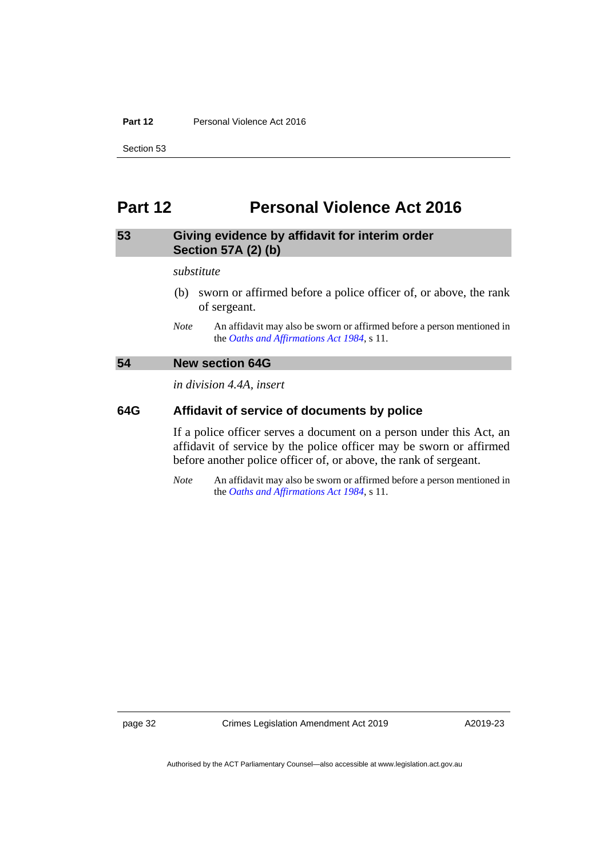### **Part 12** Personal Violence Act 2016

Section 53

### <span id="page-35-0"></span>**Part 12 Personal Violence Act 2016**

### <span id="page-35-1"></span>**53 Giving evidence by affidavit for interim order Section 57A (2) (b)**

#### *substitute*

- (b) sworn or affirmed before a police officer of, or above, the rank of sergeant.
- *Note* An affidavit may also be sworn or affirmed before a person mentioned in the *[Oaths and Affirmations Act](http://www.legislation.act.gov.au/a/1984-79) 1984*, s 11.

### <span id="page-35-2"></span>**54 New section 64G**

*in division 4.4A, insert*

### **64G Affidavit of service of documents by police**

If a police officer serves a document on a person under this Act, an affidavit of service by the police officer may be sworn or affirmed before another police officer of, or above, the rank of sergeant.

*Note* An affidavit may also be sworn or affirmed before a person mentioned in the *[Oaths and Affirmations Act](http://www.legislation.act.gov.au/a/1984-79) 1984*, s 11.

page 32 Crimes Legislation Amendment Act 2019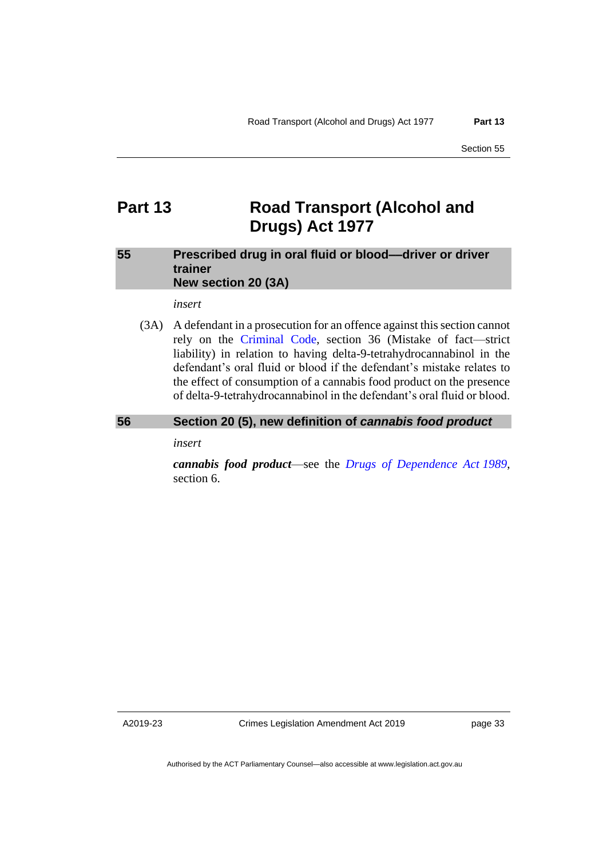### <span id="page-36-0"></span>**Part 13 Road Transport (Alcohol and Drugs) Act 1977**

### <span id="page-36-1"></span>**55 Prescribed drug in oral fluid or blood––driver or driver trainer New section 20 (3A)**

*insert*

(3A) A defendant in a prosecution for an offence against this section cannot rely on the [Criminal Code,](http://www.legislation.act.gov.au/a/2002-51) section 36 (Mistake of fact—strict liability) in relation to having delta-9-tetrahydrocannabinol in the defendant's oral fluid or blood if the defendant's mistake relates to the effect of consumption of a cannabis food product on the presence of delta-9-tetrahydrocannabinol in the defendant's oral fluid or blood.

### <span id="page-36-2"></span>**56 Section 20 (5), new definition of** *cannabis food product*

*insert*

*cannabis food product*—see the *[Drugs of Dependence Act](http://www.legislation.act.gov.au/a/alt_a1989-11co) 1989*, section 6.

A2019-23

Crimes Legislation Amendment Act 2019

page 33